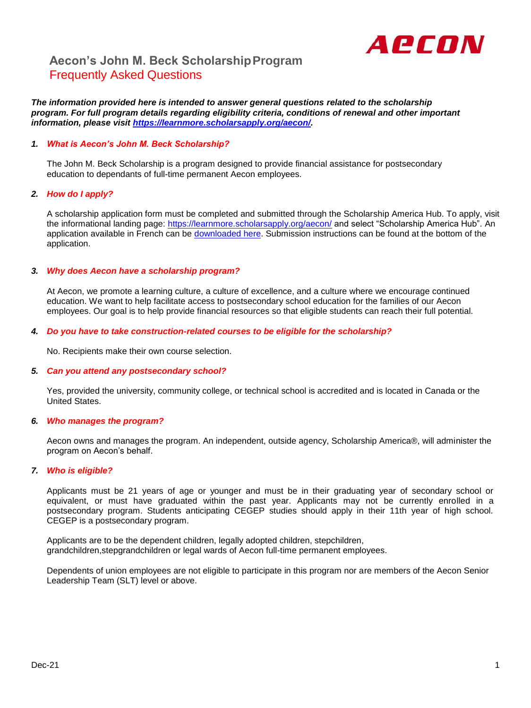

## **Aecon's John M. Beck ScholarshipProgram** Frequently Asked Questions

*The information provided here is intended to answer general questions related to the scholarship program. For full program details regarding eligibility criteria, conditions of renewal and other important information, please visit [https://learnmore.scholarsapply.org/aecon/.](https://learnmore.scholarsapply.org/aecon/)*

## *1. What is Aecon's John M. Beck Scholarship?*

The John M. Beck Scholarship is a program designed to provide financial assistance for postsecondary education to dependants of full-time permanent Aecon employees.

### *2. How do I apply?*

A scholarship application form must be completed and submitted through the Scholarship America Hub. To apply, visit the informational landing page:<https://learnmore.scholarsapply.org/aecon/> and select "Scholarship America Hub". An application available in French can be [downloaded here.](https://learnmore.scholarsapply.org/wp-content/uploads/AECON_app-French-fillin-enabled.pdf) Submission instructions can be found at the bottom of the application.

### *3. Why does Aecon have a scholarship program?*

At Aecon, we promote a learning culture, a culture of excellence, and a culture where we encourage continued education. We want to help facilitate access to postsecondary school education for the families of our Aecon employees. Our goal is to help provide financial resources so that eligible students can reach their full potential.

### *4. Do you have to take construction-related courses to be eligible for the scholarship?*

No. Recipients make their own course selection.

#### *5. Can you attend any postsecondary school?*

Yes, provided the university, community college, or technical school is accredited and is located in Canada or the United States.

#### *6. Who manages the program?*

Aecon owns and manages the program. An independent, outside agency, Scholarship America®, will administer the program on Aecon's behalf.

#### *7. Who is eligible?*

Applicants must be 21 years of age or younger and must be in their graduating year of secondary school or equivalent, or must have graduated within the past year. Applicants may not be currently enrolled in a postsecondary program. Students anticipating CEGEP studies should apply in their 11th year of high school. CEGEP is a postsecondary program.

Applicants are to be the dependent children, legally adopted children, stepchildren, grandchildren,stepgrandchildren or legal wards of Aecon full-time permanent employees.

Dependents of union employees are not eligible to participate in this program nor are members of the Aecon Senior Leadership Team (SLT) level or above.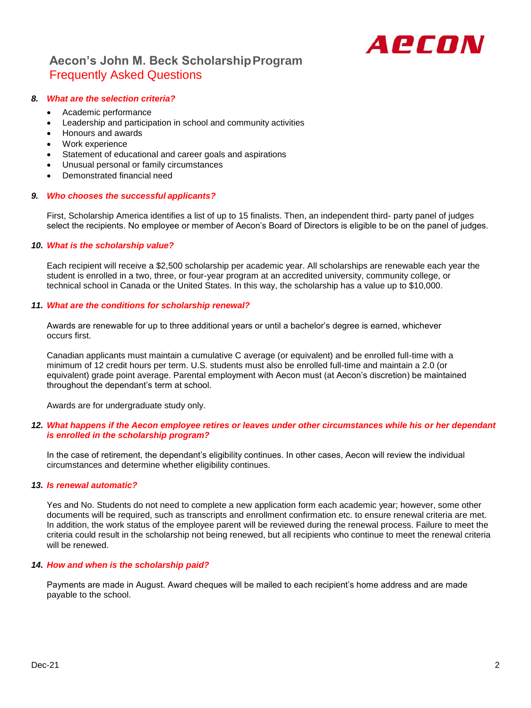

# **Aecon's John M. Beck ScholarshipProgram** Frequently Asked Questions

## *8. What are the selection criteria?*

- Academic performance
- Leadership and participation in school and community activities
- Honours and awards
- Work experience
- Statement of educational and career goals and aspirations
- Unusual personal or family circumstances
- Demonstrated financial need

#### *9. Who chooses the successful applicants?*

First, Scholarship America identifies a list of up to 15 finalists. Then, an independent third- party panel of judges select the recipients. No employee or member of Aecon's Board of Directors is eligible to be on the panel of judges.

### *10. What is the scholarship value?*

Each recipient will receive a \$2,500 scholarship per academic year. All scholarships are renewable each year the student is enrolled in a two, three, or four-year program at an accredited university, community college, or technical school in Canada or the United States. In this way, the scholarship has a value up to \$10,000.

### *11. What are the conditions for scholarship renewal?*

Awards are renewable for up to three additional years or until a bachelor's degree is earned, whichever occurs first.

Canadian applicants must maintain a cumulative C average (or equivalent) and be enrolled full-time with a minimum of 12 credit hours per term. U.S. students must also be enrolled full-time and maintain a 2.0 (or equivalent) grade point average. Parental employment with Aecon must (at Aecon's discretion) be maintained throughout the dependant's term at school.

Awards are for undergraduate study only.

### *12. What happens if the Aecon employee retires or leaves under other circumstances while his or her dependant is enrolled in the scholarship program?*

In the case of retirement, the dependant's eligibility continues. In other cases, Aecon will review the individual circumstances and determine whether eligibility continues.

#### *13. Is renewal automatic?*

Yes and No. Students do not need to complete a new application form each academic year; however, some other documents will be required, such as transcripts and enrollment confirmation etc. to ensure renewal criteria are met. In addition, the work status of the employee parent will be reviewed during the renewal process. Failure to meet the criteria could result in the scholarship not being renewed, but all recipients who continue to meet the renewal criteria will be renewed.

## *14. How and when is the scholarship paid?*

Payments are made in August. Award cheques will be mailed to each recipient's home address and are made payable to the school.